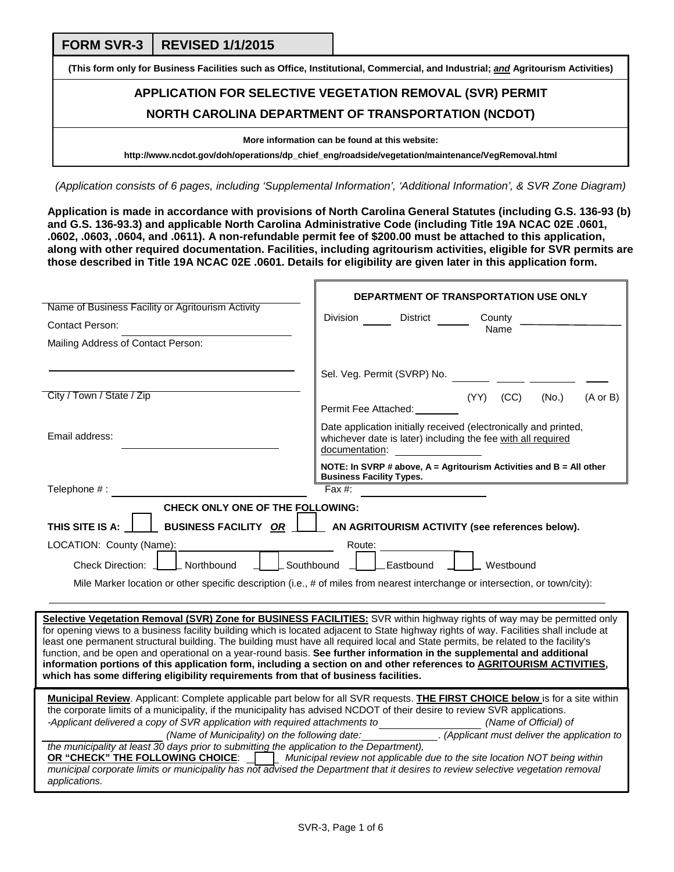**FORM SVR-3 REVISED 1/1/2015** 

**(This form only for Business Facilities such as Office, Institutional, Commercial, and Industrial;** *and* **Agritourism Activities)**

# **APPLICATION FOR SELECTIVE VEGETATION REMOVAL (SVR) PERMIT NORTH CAROLINA DEPARTMENT OF TRANSPORTATION (NCDOT)**

**More information can be found at this website:** 

**http://www.ncdot.gov/doh/operations/dp\_chief\_eng/roadside/vegetation/maintenance/VegRemoval.html**

*(Application consists of 6 pages, including 'Supplemental Information', 'Additional Information', & SVR Zone Diagram)*

**Application is made in accordance with provisions of North Carolina General Statutes (including G.S. 136-93 (b) and G.S. 136-93.3) and applicable North Carolina Administrative Code (including Title 19A NCAC 02E .0601, .0602, .0603, .0604, and .0611). A non-refundable permit fee of \$200.00 must be attached to this application, along with other required documentation. Facilities, including agritourism activities, eligible for SVR permits are those described in Title 19A NCAC 02E .0601. Details for eligibility are given later in this application form.** 

 $\mathbf{r}$ 

|                                                                                                                                                                                                                                                            | DEPARTMENT OF TRANSPORTATION USE ONLY                                                                                                                                                                                                                                                                                                                             |  |  |  |  |
|------------------------------------------------------------------------------------------------------------------------------------------------------------------------------------------------------------------------------------------------------------|-------------------------------------------------------------------------------------------------------------------------------------------------------------------------------------------------------------------------------------------------------------------------------------------------------------------------------------------------------------------|--|--|--|--|
| Name of Business Facility or Agritourism Activity                                                                                                                                                                                                          | Division<br>District<br>County                                                                                                                                                                                                                                                                                                                                    |  |  |  |  |
| <b>Contact Person:</b>                                                                                                                                                                                                                                     | Name                                                                                                                                                                                                                                                                                                                                                              |  |  |  |  |
| Mailing Address of Contact Person:                                                                                                                                                                                                                         |                                                                                                                                                                                                                                                                                                                                                                   |  |  |  |  |
|                                                                                                                                                                                                                                                            |                                                                                                                                                                                                                                                                                                                                                                   |  |  |  |  |
|                                                                                                                                                                                                                                                            | Sel. Veg. Permit (SVRP) No.                                                                                                                                                                                                                                                                                                                                       |  |  |  |  |
| City / Town / State / Zip                                                                                                                                                                                                                                  | (CC)<br>(YY)<br>(No.)<br>$(A \text{ or } B)$                                                                                                                                                                                                                                                                                                                      |  |  |  |  |
|                                                                                                                                                                                                                                                            | Permit Fee Attached:                                                                                                                                                                                                                                                                                                                                              |  |  |  |  |
| Email address:                                                                                                                                                                                                                                             | Date application initially received (electronically and printed,<br>whichever date is later) including the fee with all required<br>documentation: example and all the set of the set of the set of the set of the set of the set of the set of the set of the set of the set of the set of the set of the set of the set of the set of the set of the set of the |  |  |  |  |
|                                                                                                                                                                                                                                                            | NOTE: In SVRP # above, $A =$ Agritourism Activities and $B =$ All other<br><b>Business Facility Types.</b>                                                                                                                                                                                                                                                        |  |  |  |  |
| Telephone # :                                                                                                                                                                                                                                              | Fax $#$ :                                                                                                                                                                                                                                                                                                                                                         |  |  |  |  |
| <b>CHECK ONLY ONE OF THE FOLLOWING:</b>                                                                                                                                                                                                                    |                                                                                                                                                                                                                                                                                                                                                                   |  |  |  |  |
| THIS SITE IS A:<br>BUSINESS FACILITY OR   AN AGRITOURISM ACTIVITY (see references below).                                                                                                                                                                  |                                                                                                                                                                                                                                                                                                                                                                   |  |  |  |  |
| LOCATION: County (Name):<br>Route:                                                                                                                                                                                                                         |                                                                                                                                                                                                                                                                                                                                                                   |  |  |  |  |
| Northbound<br>Southbound<br>_Eastbound<br>Westbound<br>Check Direction:                                                                                                                                                                                    |                                                                                                                                                                                                                                                                                                                                                                   |  |  |  |  |
| Mile Marker location or other specific description (i.e., # of miles from nearest interchange or intersection, or town/city):                                                                                                                              |                                                                                                                                                                                                                                                                                                                                                                   |  |  |  |  |
|                                                                                                                                                                                                                                                            |                                                                                                                                                                                                                                                                                                                                                                   |  |  |  |  |
|                                                                                                                                                                                                                                                            | Selective Vegetation Removal (SVR) Zone for BUSINESS FACILITIES: SVR within highway rights of way may be permitted only                                                                                                                                                                                                                                           |  |  |  |  |
|                                                                                                                                                                                                                                                            | for opening views to a business facility building which is located adjacent to State highway rights of way. Facilities shall include at                                                                                                                                                                                                                           |  |  |  |  |
|                                                                                                                                                                                                                                                            | least one permanent structural building. The building must have all required local and State permits, be related to the facility's                                                                                                                                                                                                                                |  |  |  |  |
|                                                                                                                                                                                                                                                            | function, and be open and operational on a year-round basis. See further information in the supplemental and additional<br>information portions of this application form, including a section on and other references to AGRITOURISM ACTIVITIES,                                                                                                                  |  |  |  |  |
| which has some differing eligibility requirements from that of business facilities.                                                                                                                                                                        |                                                                                                                                                                                                                                                                                                                                                                   |  |  |  |  |
|                                                                                                                                                                                                                                                            |                                                                                                                                                                                                                                                                                                                                                                   |  |  |  |  |
| Municipal Review. Applicant: Complete applicable part below for all SVR requests. THE FIRST CHOICE below is for a site within<br>the corporate limits of a municipality, if the municipality has advised NCDOT of their desire to review SVR applications. |                                                                                                                                                                                                                                                                                                                                                                   |  |  |  |  |
| -Applicant delivered a copy of SVR application with required attachments to<br>(Name of Official) of                                                                                                                                                       |                                                                                                                                                                                                                                                                                                                                                                   |  |  |  |  |
| (Name of Municipality) on the following date: (Applicant must deliver the application to<br>the municipality at least 30 days prior to submitting the application to the Department),                                                                      |                                                                                                                                                                                                                                                                                                                                                                   |  |  |  |  |
| OR "CHECK" THE FOLLOWING CHOICE: Valunicipal review not applicable due to the site location NOT being within                                                                                                                                               |                                                                                                                                                                                                                                                                                                                                                                   |  |  |  |  |
| municipal corporate limits or municipality has not advised the Department that it desires to review selective vegetation removal                                                                                                                           |                                                                                                                                                                                                                                                                                                                                                                   |  |  |  |  |
| applications.                                                                                                                                                                                                                                              |                                                                                                                                                                                                                                                                                                                                                                   |  |  |  |  |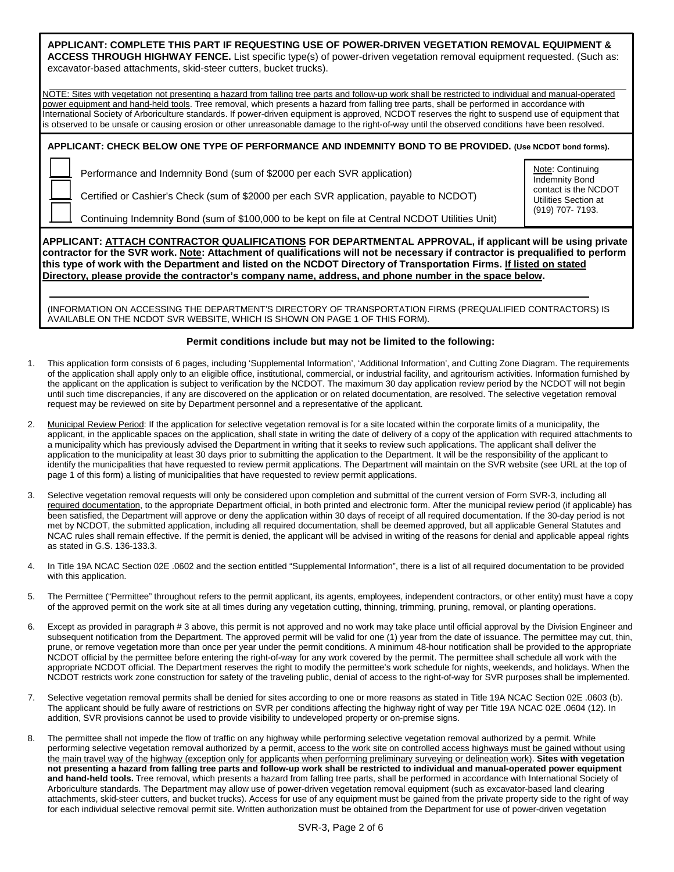**APPLICANT: COMPLETE THIS PART IF REQUESTING USE OF POWER-DRIVEN VEGETATION REMOVAL EQUIPMENT & ACCESS THROUGH HIGHWAY FENCE.** List specific type(s) of power-driven vegetation removal equipment requested. (Such as: excavator-based attachments, skid-steer cutters, bucket trucks).

NOTE: Sites with vegetation not presenting a hazard from falling tree parts and follow-up work shall be restricted to individual and manual-operated power equipment and hand-held tools. Tree removal, which presents a hazard from falling tree parts, shall be performed in accordance with International Society of Arboriculture standards. If power-driven equipment is approved, NCDOT reserves the right to suspend use of equipment that is observed to be unsafe or causing erosion or other unreasonable damage to the right-of-way until the observed conditions have been resolved.

**APPLICANT: CHECK BELOW ONE TYPE OF PERFORMANCE AND INDEMNITY BOND TO BE PROVIDED. (Use NCDOT bond forms).** 

Performance and Indemnity Bond (sum of \$2000 per each SVR application)

Certified or Cashier's Check (sum of \$2000 per each SVR application, payable to NCDOT)

Continuing Indemnity Bond (sum of \$100,000 to be kept on file at Central NCDOT Utilities Unit)

Note: Continuing Indemnity Bond contact is the NCDOT Utilities Section at (919) 707- 7193.

**APPLICANT: ATTACH CONTRACTOR QUALIFICATIONS FOR DEPARTMENTAL APPROVAL, if applicant will be using private contractor for the SVR work. Note: Attachment of qualifications will not be necessary if contractor is prequalified to perform this type of work with the Department and listed on the NCDOT Directory of Transportation Firms. If listed on stated Directory, please provide the contractor's company name, address, and phone number in the space below.** 

 (INFORMATION ON ACCESSING THE DEPARTMENT'S DIRECTORY OF TRANSPORTATION FIRMS (PREQUALIFIED CONTRACTORS) IS AVAILABLE ON THE NCDOT SVR WEBSITE, WHICH IS SHOWN ON PAGE 1 OF THIS FORM).

### **Permit conditions include but may not be limited to the following:**

- 1. This application form consists of 6 pages, including 'Supplemental Information', 'Additional Information', and Cutting Zone Diagram. The requirements of the application shall apply only to an eligible office, institutional, commercial, or industrial facility, and agritourism activities. Information furnished by the applicant on the application is subject to verification by the NCDOT. The maximum 30 day application review period by the NCDOT will not begin until such time discrepancies, if any are discovered on the application or on related documentation, are resolved. The selective vegetation removal request may be reviewed on site by Department personnel and a representative of the applicant.
- 2. Municipal Review Period: If the application for selective vegetation removal is for a site located within the corporate limits of a municipality, the applicant, in the applicable spaces on the application, shall state in writing the date of delivery of a copy of the application with required attachments to a municipality which has previously advised the Department in writing that it seeks to review such applications. The applicant shall deliver the application to the municipality at least 30 days prior to submitting the application to the Department. It will be the responsibility of the applicant to identify the municipalities that have requested to review permit applications. The Department will maintain on the SVR website (see URL at the top of page 1 of this form) a listing of municipalities that have requested to review permit applications.
- 3. Selective vegetation removal requests will only be considered upon completion and submittal of the current version of Form SVR-3, including all required documentation, to the appropriate Department official, in both printed and electronic form. After the municipal review period (if applicable) has been satisfied, the Department will approve or deny the application within 30 days of receipt of all required documentation. If the 30-day period is not met by NCDOT, the submitted application, including all required documentation, shall be deemed approved, but all applicable General Statutes and NCAC rules shall remain effective. If the permit is denied, the applicant will be advised in writing of the reasons for denial and applicable appeal rights as stated in G.S. 136-133.3.
- 4. In Title 19A NCAC Section 02E .0602 and the section entitled "Supplemental Information", there is a list of all required documentation to be provided with this application.
- 5. The Permittee ("Permittee" throughout refers to the permit applicant, its agents, employees, independent contractors, or other entity) must have a copy of the approved permit on the work site at all times during any vegetation cutting, thinning, trimming, pruning, removal, or planting operations.
- 6. Except as provided in paragraph # 3 above, this permit is not approved and no work may take place until official approval by the Division Engineer and subsequent notification from the Department. The approved permit will be valid for one (1) year from the date of issuance. The permittee may cut, thin, prune, or remove vegetation more than once per year under the permit conditions. A minimum 48-hour notification shall be provided to the appropriate NCDOT official by the permittee before entering the right-of-way for any work covered by the permit. The permittee shall schedule all work with the appropriate NCDOT official. The Department reserves the right to modify the permittee's work schedule for nights, weekends, and holidays. When the NCDOT restricts work zone construction for safety of the traveling public, denial of access to the right-of-way for SVR purposes shall be implemented.
- 7. Selective vegetation removal permits shall be denied for sites according to one or more reasons as stated in Title 19A NCAC Section 02E .0603 (b). The applicant should be fully aware of restrictions on SVR per conditions affecting the highway right of way per Title 19A NCAC 02E .0604 (12). In addition, SVR provisions cannot be used to provide visibility to undeveloped property or on-premise signs.
- The permittee shall not impede the flow of traffic on any highway while performing selective vegetation removal authorized by a permit. While performing selective vegetation removal authorized by a permit, access to the work site on controlled access highways must be gained without using the main travel way of the highway (exception only for applicants when performing preliminary surveying or delineation work). **Sites with vegetation not presenting a hazard from falling tree parts and follow-up work shall be restricted to individual and manual-operated power equipment and hand-held tools.** Tree removal, which presents a hazard from falling tree parts, shall be performed in accordance with International Society of Arboriculture standards. The Department may allow use of power-driven vegetation removal equipment (such as excavator-based land clearing attachments, skid-steer cutters, and bucket trucks). Access for use of any equipment must be gained from the private property side to the right of way for each individual selective removal permit site. Written authorization must be obtained from the Department for use of power-driven vegetation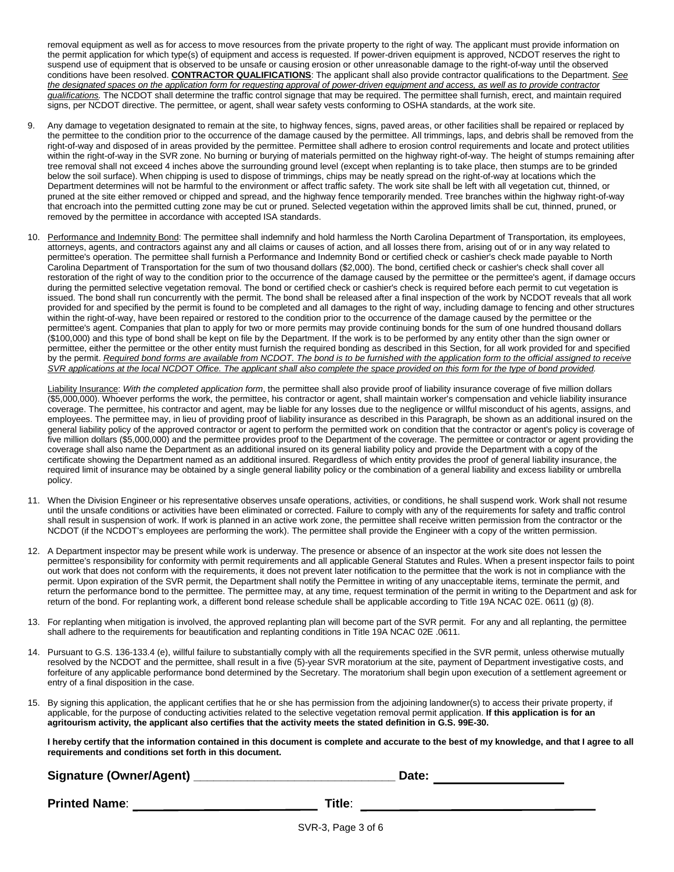removal equipment as well as for access to move resources from the private property to the right of way. The applicant must provide information on the permit application for which type(s) of equipment and access is requested. If power-driven equipment is approved, NCDOT reserves the right to suspend use of equipment that is observed to be unsafe or causing erosion or other unreasonable damage to the right-of-way until the observed conditions have been resolved. **CONTRACTOR QUALIFICATIONS**: The applicant shall also provide contractor qualifications to the Department. *See the designated spaces on the application form for requesting approval of power-driven equipment and access, as well as to provide contractor qualifications.* The NCDOT shall determine the traffic control signage that may be required. The permittee shall furnish, erect, and maintain required signs, per NCDOT directive. The permittee, or agent, shall wear safety vests conforming to OSHA standards, at the work site.

- Any damage to vegetation designated to remain at the site, to highway fences, signs, paved areas, or other facilities shall be repaired or replaced by the permittee to the condition prior to the occurrence of the damage caused by the permittee. All trimmings, laps, and debris shall be removed from the right-of-way and disposed of in areas provided by the permittee. Permittee shall adhere to erosion control requirements and locate and protect utilities within the right-of-way in the SVR zone. No burning or burying of materials permitted on the highway right-of-way. The height of stumps remaining after tree removal shall not exceed 4 inches above the surrounding ground level (except when replanting is to take place, then stumps are to be grinded below the soil surface). When chipping is used to dispose of trimmings, chips may be neatly spread on the right-of-way at locations which the Department determines will not be harmful to the environment or affect traffic safety. The work site shall be left with all vegetation cut, thinned, or pruned at the site either removed or chipped and spread, and the highway fence temporarily mended. Tree branches within the highway right-of-way that encroach into the permitted cutting zone may be cut or pruned. Selected vegetation within the approved limits shall be cut, thinned, pruned, or removed by the permittee in accordance with accepted ISA standards.
- 10. Performance and Indemnity Bond: The permittee shall indemnify and hold harmless the North Carolina Department of Transportation, its employees, attorneys, agents, and contractors against any and all claims or causes of action, and all losses there from, arising out of or in any way related to permittee's operation. The permittee shall furnish a Performance and Indemnity Bond or certified check or cashier's check made payable to North Carolina Department of Transportation for the sum of two thousand dollars (\$2,000). The bond, certified check or cashier's check shall cover all restoration of the right of way to the condition prior to the occurrence of the damage caused by the permittee or the permittee's agent, if damage occurs during the permitted selective vegetation removal. The bond or certified check or cashier's check is required before each permit to cut vegetation is issued. The bond shall run concurrently with the permit. The bond shall be released after a final inspection of the work by NCDOT reveals that all work provided for and specified by the permit is found to be completed and all damages to the right of way, including damage to fencing and other structures within the right-of-way, have been repaired or restored to the condition prior to the occurrence of the damage caused by the permittee or the permittee's agent. Companies that plan to apply for two or more permits may provide continuing bonds for the sum of one hundred thousand dollars (\$100,000) and this type of bond shall be kept on file by the Department. If the work is to be performed by any entity other than the sign owner or permittee, either the permittee or the other entity must furnish the required bonding as described in this Section, for all work provided for and specified by the permit. *Required bond forms are available from NCDOT. The bond is to be furnished with the application form to the official assigned to receive SVR applications at the local NCDOT Office. The applicant shall also complete the space provided on this form for the type of bond provided.*

Liability Insurance: *With the completed application form*, the permittee shall also provide proof of liability insurance coverage of five million dollars (\$5,000,000). Whoever performs the work, the permittee, his contractor or agent, shall maintain worker's compensation and vehicle liability insurance coverage. The permittee, his contractor and agent, may be liable for any losses due to the negligence or willful misconduct of his agents, assigns, and employees. The permittee may, in lieu of providing proof of liability insurance as described in this Paragraph, be shown as an additional insured on the general liability policy of the approved contractor or agent to perform the permitted work on condition that the contractor or agent's policy is coverage of five million dollars (\$5,000,000) and the permittee provides proof to the Department of the coverage. The permittee or contractor or agent providing the coverage shall also name the Department as an additional insured on its general liability policy and provide the Department with a copy of the certificate showing the Department named as an additional insured. Regardless of which entity provides the proof of general liability insurance, the required limit of insurance may be obtained by a single general liability policy or the combination of a general liability and excess liability or umbrella policy.

- 11. When the Division Engineer or his representative observes unsafe operations, activities, or conditions, he shall suspend work. Work shall not resume until the unsafe conditions or activities have been eliminated or corrected. Failure to comply with any of the requirements for safety and traffic control shall result in suspension of work. If work is planned in an active work zone, the permittee shall receive written permission from the contractor or the NCDOT (if the NCDOT's employees are performing the work). The permittee shall provide the Engineer with a copy of the written permission.
- 12. A Department inspector may be present while work is underway. The presence or absence of an inspector at the work site does not lessen the permittee's responsibility for conformity with permit requirements and all applicable General Statutes and Rules. When a present inspector fails to point out work that does not conform with the requirements, it does not prevent later notification to the permittee that the work is not in compliance with the permit. Upon expiration of the SVR permit, the Department shall notify the Permittee in writing of any unacceptable items, terminate the permit, and return the performance bond to the permittee. The permittee may, at any time, request termination of the permit in writing to the Department and ask for return of the bond. For replanting work, a different bond release schedule shall be applicable according to Title 19A NCAC 02E. 0611 (g) (8).
- 13. For replanting when mitigation is involved, the approved replanting plan will become part of the SVR permit. For any and all replanting, the permittee shall adhere to the requirements for beautification and replanting conditions in Title 19A NCAC 02E .0611.
- 14. Pursuant to G.S. 136-133.4 (e), willful failure to substantially comply with all the requirements specified in the SVR permit, unless otherwise mutually resolved by the NCDOT and the permittee, shall result in a five (5)-year SVR moratorium at the site, payment of Department investigative costs, and forfeiture of any applicable performance bond determined by the Secretary. The moratorium shall begin upon execution of a settlement agreement or entry of a final disposition in the case.
- 15. By signing this application, the applicant certifies that he or she has permission from the adjoining landowner(s) to access their private property, if applicable, for the purpose of conducting activities related to the selective vegetation removal permit application. **If this application is for an agritourism activity, the applicant also certifies that the activity meets the stated definition in G.S. 99E-30.**

**I hereby certify that the information contained in this document is complete and accurate to the best of my knowledge, and that I agree to all requirements and conditions set forth in this document.**

**Signature (Owner/Agent) \_\_\_\_\_\_\_\_\_\_\_\_\_\_\_\_\_\_\_\_\_\_\_\_\_\_\_\_\_\_ Date:** 

**Printed Name**: **Title**:

SVR-3, Page 3 of 6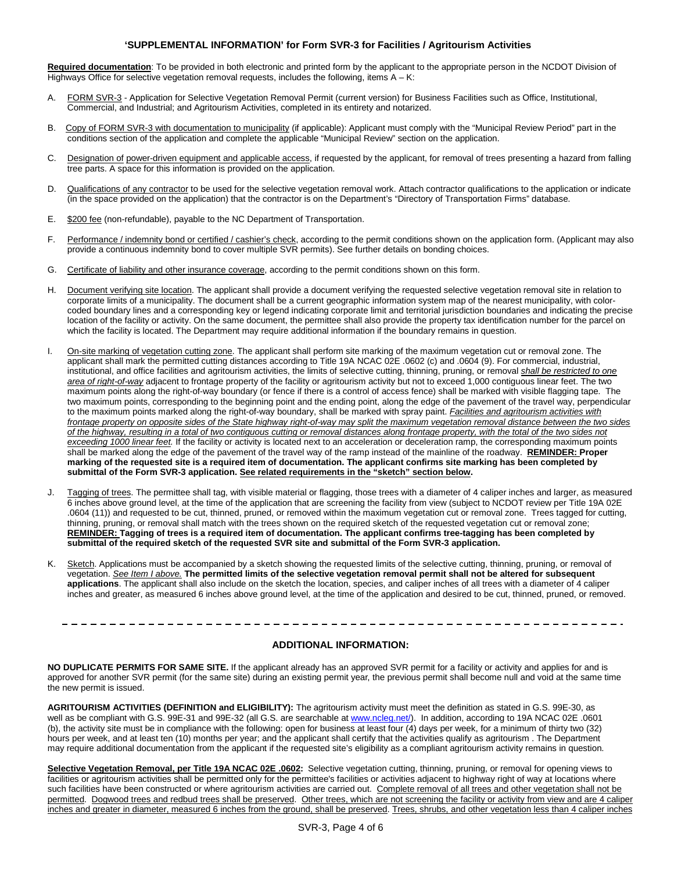#### **'SUPPLEMENTAL INFORMATION' for Form SVR-3 for Facilities / Agritourism Activities**

**Required documentation**: To be provided in both electronic and printed form by the applicant to the appropriate person in the NCDOT Division of Highways Office for selective vegetation removal requests, includes the following, items  $A - K$ :

- A. FORM SVR-3 Application for Selective Vegetation Removal Permit (current version) for Business Facilities such as Office, Institutional, Commercial, and Industrial; and Agritourism Activities, completed in its entirety and notarized.
- B. Copy of FORM SVR-3 with documentation to municipality (if applicable): Applicant must comply with the "Municipal Review Period" part in the conditions section of the application and complete the applicable "Municipal Review" section on the application.
- C. Designation of power-driven equipment and applicable access, if requested by the applicant, for removal of trees presenting a hazard from falling tree parts. A space for this information is provided on the application.
- D. Qualifications of any contractor to be used for the selective vegetation removal work. Attach contractor qualifications to the application or indicate (in the space provided on the application) that the contractor is on the Department's "Directory of Transportation Firms" database.
- E. \$200 fee (non-refundable), payable to the NC Department of Transportation.
- F. Performance / indemnity bond or certified / cashier's check, according to the permit conditions shown on the application form. (Applicant may also provide a continuous indemnity bond to cover multiple SVR permits). See further details on bonding choices.
- G. Certificate of liability and other insurance coverage, according to the permit conditions shown on this form.
- H. Document verifying site location. The applicant shall provide a document verifying the requested selective vegetation removal site in relation to corporate limits of a municipality. The document shall be a current geographic information system map of the nearest municipality, with colorcoded boundary lines and a corresponding key or legend indicating corporate limit and territorial jurisdiction boundaries and indicating the precise location of the facility or activity. On the same document, the permittee shall also provide the property tax identification number for the parcel on which the facility is located. The Department may require additional information if the boundary remains in question.
- I. On-site marking of vegetation cutting zone. The applicant shall perform site marking of the maximum vegetation cut or removal zone. The applicant shall mark the permitted cutting distances according to Title 19A NCAC 02E .0602 (c) and .0604 (9). For commercial, industrial, institutional, and office facilities and agritourism activities, the limits of selective cutting, thinning, pruning, or removal *shall be restricted to one area of right-of-way* adjacent to frontage property of the facility or agritourism activity but not to exceed 1,000 contiguous linear feet. The two maximum points along the right-of-way boundary (or fence if there is a control of access fence) shall be marked with visible flagging tape. The two maximum points, corresponding to the beginning point and the ending point, along the edge of the pavement of the travel way, perpendicular to the maximum points marked along the right-of-way boundary, shall be marked with spray paint. *Facilities and agritourism activities with*  frontage property on opposite sides of the State highway right-of-way may split the maximum vegetation removal distance between the two sides *of the highway, resulting in a total of two contiguous cutting or removal distances along frontage property, with the total of the two sides not exceeding 1000 linear feet.* If the facility or activity is located next to an acceleration or deceleration ramp, the corresponding maximum points shall be marked along the edge of the pavement of the travel way of the ramp instead of the mainline of the roadway. **REMINDER: Proper marking of the requested site is a required item of documentation. The applicant confirms site marking has been completed by submittal of the Form SVR-3 application. See related requirements in the "sketch" section below.**
- J. Tagging of trees. The permittee shall tag, with visible material or flagging, those trees with a diameter of 4 caliper inches and larger, as measured 6 inches above ground level, at the time of the application that are screening the facility from view (subject to NCDOT review per Title 19A 02E .0604 (11)) and requested to be cut, thinned, pruned, or removed within the maximum vegetation cut or removal zone. Trees tagged for cutting, thinning, pruning, or removal shall match with the trees shown on the required sketch of the requested vegetation cut or removal zone; **REMINDER: Tagging of trees is a required item of documentation. The applicant confirms tree-tagging has been completed by submittal of the required sketch of the requested SVR site and submittal of the Form SVR-3 application.**
- K. Sketch. Applications must be accompanied by a sketch showing the requested limits of the selective cutting, thinning, pruning, or removal of vegetation. *See Item I above.* **The permitted limits of the selective vegetation removal permit shall not be altered for subsequent applications**. The applicant shall also include on the sketch the location, species, and caliper inches of all trees with a diameter of 4 caliper inches and greater, as measured 6 inches above ground level, at the time of the application and desired to be cut, thinned, pruned, or removed.

#### **ADDITIONAL INFORMATION:**

**NO DUPLICATE PERMITS FOR SAME SITE.** If the applicant already has an approved SVR permit for a facility or activity and applies for and is approved for another SVR permit (for the same site) during an existing permit year, the previous permit shall become null and void at the same time the new permit is issued.

**AGRITOURISM ACTIVITIES (DEFINITION and ELIGIBILITY):** The agritourism activity must meet the definition as stated in G.S. 99E-30, as well as be compliant with G.S. 99E-31 and 99E-32 (all G.S. are searchable at [www.ncleg.net/\)](http://www.ncleg.net/). In addition, according to 19A NCAC 02E .0601 (b), the activity site must be in compliance with the following: open for business at least four (4) days per week, for a minimum of thirty two (32) hours per week, and at least ten (10) months per year; and the applicant shall certify that the activities qualify as agritourism . The Department may require additional documentation from the applicant if the requested site's eligibility as a compliant agritourism activity remains in question.

**Selective Vegetation Removal, per Title 19A NCAC 02E .0602:** Selective vegetation cutting, thinning, pruning, or removal for opening views to facilities or agritourism activities shall be permitted only for the permittee's facilities or activities adjacent to highway right of way at locations where such facilities have been constructed or where agritourism activities are carried out. Complete removal of all trees and other vegetation shall not be permitted. Dogwood trees and redbud trees shall be preserved. Other trees, which are not screening the facility or activity from view and are 4 caliper inches and greater in diameter, measured 6 inches from the ground, shall be preserved. Trees, shrubs, and other vegetation less than 4 caliper inches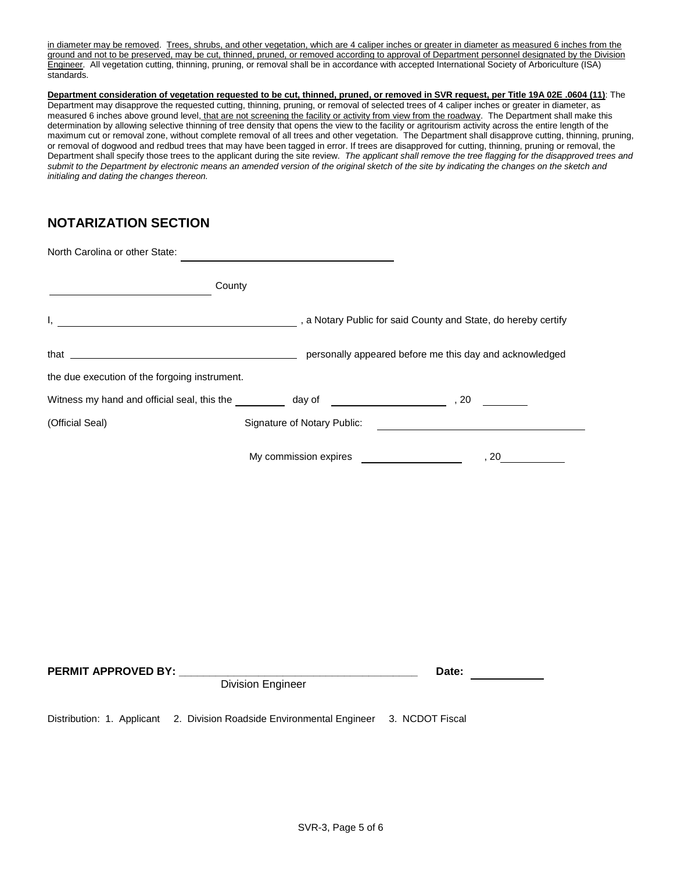in diameter may be removed. Trees, shrubs, and other vegetation, which are 4 caliper inches or greater in diameter as measured 6 inches from the ground and not to be preserved, may be cut, thinned, pruned, or removed according to approval of Department personnel designated by the Division Engineer. All vegetation cutting, thinning, pruning, or removal shall be in accordance with accepted International Society of Arboriculture (ISA) standards.

**Department consideration of vegetation requested to be cut, thinned, pruned, or removed in SVR request, per Title 19A 02E .0604 (11)**: The Department may disapprove the requested cutting, thinning, pruning, or removal of selected trees of 4 caliper inches or greater in diameter, as measured 6 inches above ground level, that are not screening the facility or activity from view from the roadway. The Department shall make this determination by allowing selective thinning of tree density that opens the view to the facility or agritourism activity across the entire length of the maximum cut or removal zone, without complete removal of all trees and other vegetation. The Department shall disapprove cutting, thinning, pruning, or removal of dogwood and redbud trees that may have been tagged in error. If trees are disapproved for cutting, thinning, pruning or removal, the Department shall specify those trees to the applicant during the site review. *The applicant shall remove the tree flagging for the disapproved trees and submit to the Department by electronic means an amended version of the original sketch of the site by indicating the changes on the sketch and initialing and dating the changes thereon.* 

## **NOTARIZATION SECTION**

| North Carolina or other State:                                                                                                |        |                             |                                              |        |
|-------------------------------------------------------------------------------------------------------------------------------|--------|-----------------------------|----------------------------------------------|--------|
| <u> 1980 - Johann Barn, mars eta bainar e</u>                                                                                 | County |                             |                                              |        |
| a Notary Public for said County and State, do hereby certify (3) a Motary Public for said County and State, do hereby certify |        |                             |                                              |        |
|                                                                                                                               |        |                             |                                              |        |
| the due execution of the forgoing instrument.                                                                                 |        |                             |                                              |        |
|                                                                                                                               |        |                             |                                              |        |
| (Official Seal)                                                                                                               |        | Signature of Notary Public: |                                              |        |
|                                                                                                                               |        |                             | My commission expires ______________________ | , $20$ |
| PERMIT APPROVED BY: Division Engineer                                                                                         |        |                             |                                              | Date:  |
| Distribution: 1. Applicant 2. Division Roadside Environmental Engineer 3. NCDOT Fiscal                                        |        |                             |                                              |        |